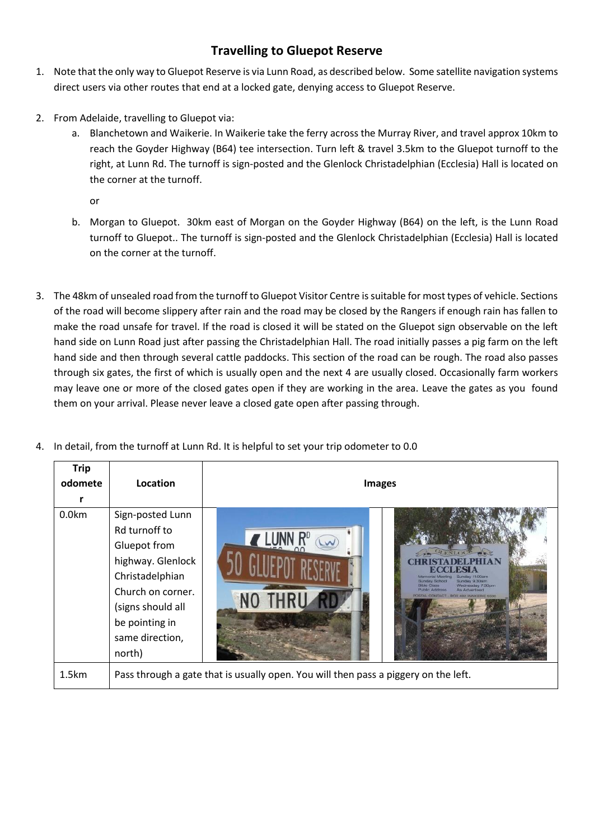## **Travelling to Gluepot Reserve**

- 1. Note that the only way to Gluepot Reserve is via Lunn Road, as described below. Some satellite navigation systems direct users via other routes that end at a locked gate, denying access to Gluepot Reserve.
- 2. From Adelaide, travelling to Gluepot via:
	- a. Blanchetown and Waikerie. In Waikerie take the ferry across the Murray River, and travel approx 10km to reach the Goyder Highway (B64) tee intersection. Turn left & travel 3.5km to the Gluepot turnoff to the right, at Lunn Rd. The turnoff is sign-posted and the Glenlock Christadelphian (Ecclesia) Hall is located on the corner at the turnoff.

or

- b. Morgan to Gluepot. 30km east of Morgan on the Goyder Highway (B64) on the left, is the Lunn Road turnoff to Gluepot.. The turnoff is sign-posted and the Glenlock Christadelphian (Ecclesia) Hall is located on the corner at the turnoff.
- 3. The 48km of unsealed road from the turnoff to Gluepot Visitor Centre is suitable for most types of vehicle. Sections of the road will become slippery after rain and the road may be closed by the Rangers if enough rain has fallen to make the road unsafe for travel. If the road is closed it will be stated on the Gluepot sign observable on the left hand side on Lunn Road just after passing the Christadelphian Hall. The road initially passes a pig farm on the left hand side and then through several cattle paddocks. This section of the road can be rough. The road also passes through six gates, the first of which is usually open and the next 4 are usually closed. Occasionally farm workers may leave one or more of the closed gates open if they are working in the area. Leave the gates as you found them on your arrival. Please never leave a closed gate open after passing through.

| <b>Trip</b><br>odomete | Location                                                                                                                                                                           | <b>Images</b>                                                                                                                                                                                                                |  |
|------------------------|------------------------------------------------------------------------------------------------------------------------------------------------------------------------------------|------------------------------------------------------------------------------------------------------------------------------------------------------------------------------------------------------------------------------|--|
| 0.0 <sub>km</sub>      | Sign-posted Lunn<br>Rd turnoff to<br>Gluepot from<br>highway. Glenlock<br>Christadelphian<br>Church on corner.<br>(signs should all<br>be pointing in<br>same direction,<br>north) | <b>CLENLOC</b><br>BSIA<br>Sunday 11.00am<br>Memorial Meeting<br>Sunday 9.30am<br>Sunday School<br>Wednesday 7.30pm<br><b>Bible Class</b><br>Public Address<br><b>As Advertised</b><br>POSTAL CONTACT - BOX 482 WAIKERIE 5330 |  |
| 1.5km                  | Pass through a gate that is usually open. You will then pass a piggery on the left.                                                                                                |                                                                                                                                                                                                                              |  |

4. In detail, from the turnoff at Lunn Rd. It is helpful to set your trip odometer to 0.0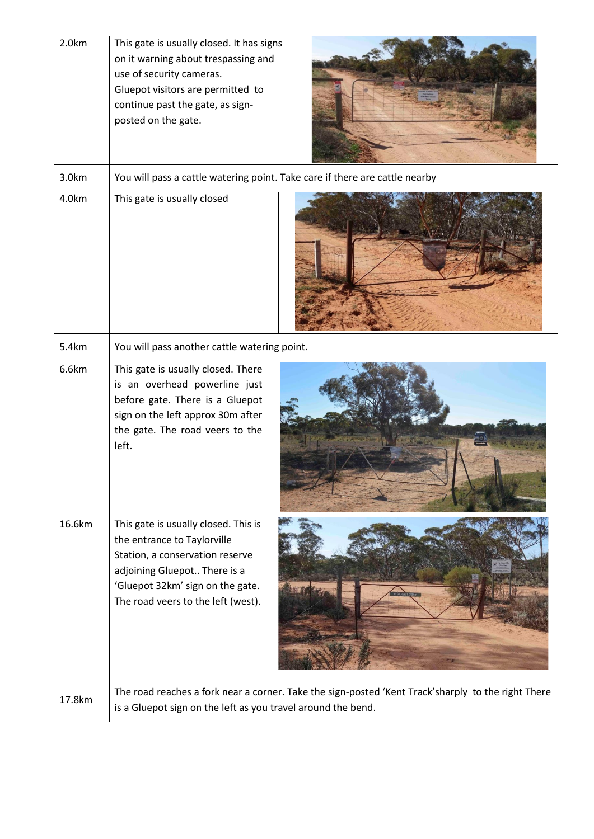| 2.0km  | This gate is usually closed. It has signs<br>on it warning about trespassing and<br>use of security cameras.<br>Gluepot visitors are permitted to<br>continue past the gate, as sign-<br>posted on the gate.     |  |  |  |
|--------|------------------------------------------------------------------------------------------------------------------------------------------------------------------------------------------------------------------|--|--|--|
| 3.0km  | You will pass a cattle watering point. Take care if there are cattle nearby                                                                                                                                      |  |  |  |
| 4.0km  | This gate is usually closed                                                                                                                                                                                      |  |  |  |
| 5.4km  | You will pass another cattle watering point.                                                                                                                                                                     |  |  |  |
| 6.6km  | This gate is usually closed. There<br>is an overhead powerline just<br>before gate. There is a Gluepot<br>sign on the left approx 30m after<br>the gate. The road veers to the<br>left.                          |  |  |  |
| 16.6km | This gate is usually closed. This is<br>the entrance to Taylorville<br>Station, a conservation reserve<br>adjoining Gluepot There is a<br>'Gluepot 32km' sign on the gate.<br>The road veers to the left (west). |  |  |  |
| 17.8km | The road reaches a fork near a corner. Take the sign-posted 'Kent Track'sharply to the right There<br>is a Gluepot sign on the left as you travel around the bend.                                               |  |  |  |